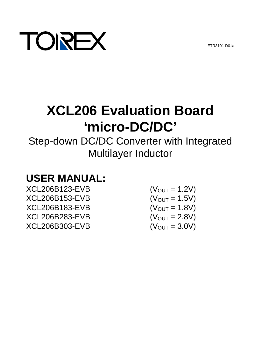ETR3101-D01a



# **XCL206 Evaluation Board 'micro-DC/DC'**

Step-down DC/DC Converter with Integrated Multilayer Inductor

# **USER MANUAL:**

 $XCL206B123-EVB$  (V<sub>OUT</sub> = 1.2V)  $XCL206B153-EVB$  (V<sub>OUT</sub> = 1.5V)  $XCL206B183-EVB$  (V<sub>OUT</sub> = 1.8V)<br> $XCL206B283-EVB$  (V<sub>OUT</sub> = 2.8V) XCL206B283-EVB  $XCL206B303-EVB$  (V<sub>OUT</sub> = 3.0V)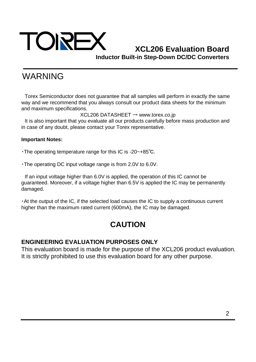

# WARNING

Torex Semiconductor does not guarantee that all samples will perform in exactly the same way and we recommend that you always consult our product data sheets for the minimum and maximum specifications.

XCL206 DATASHEET → www.torex.co.jp

It is also important that you evaluate all our products carefully before mass production and in case of any doubt, please contact your Torex representative.

#### **Important Notes:**

・The operating temperature range for this IC is -20~+85℃.

・The operating DC input voltage range is from 2.0V to 6.0V.

If an input voltage higher than 6.0V is applied, the operation of this IC cannot be guaranteed. Moreover, if a voltage higher than 6.5V is applied the IC may be permanently damaged.

・At the output of the IC, if the selected load causes the IC to supply a continuous current higher than the maximum rated current (600mA), the IC may be damaged.

# **CAUTION**

### **ENGINEERING EVALUATION PURPOSES ONLY**

This evaluation board is made for the purpose of the XCL206 product evaluation. It is strictly prohibited to use this evaluation board for any other purpose.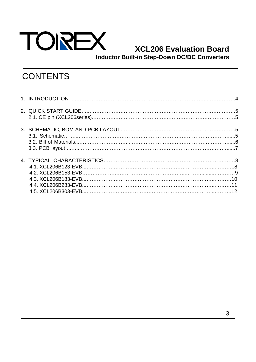

# **XCL206 Evaluation Board**

**Inductor Built-in Step-Down DC/DC Converters**

# **CONTENTS**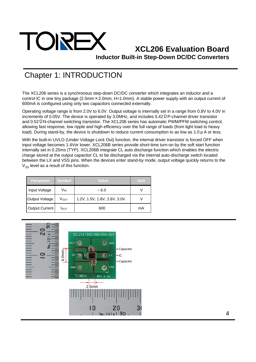

# Chapter 1: INTRODUCTION

The XCL206 series is a synchronous step-down DC/DC converter which integrates an inductor and a control IC in one tiny package (2.5mm × 2.0mm, H=1.0mm). A stable power supply with an output current of 600mA is configured using only two capacitors connected externally.

Operating voltage range is from 2.0V to 6.0V. Output voltage is internally set in a range from 0.8V to 4.0V in increments of 0.05V. The device is operated by 3.0MHz, and includes 0.42ΩP-channel driver transistor and 0.52ΩN-channel switching transistor. The XCL206 series has automatic PWM/PFM switching control, allowing fast response, low ripple and high efficiency over the full range of loads (from light load to heavy load). During stand-by, the device is shutdown to reduce current consumption to as low as 1.0  $\mu$  A or less.

With the built-in UVLO (Under Voltage Lock Out) function, the internal driver transistor is forced OFF when input voltage becomes 1.4Vor lower. XCL206B series provide short-time turn-on by the soft start function internally set in 0.25ms (TYP). XCL206B integrate CL auto discharge function which enables the electric charge stored at the output capacitor CL to be discharged via the internal auto-discharge switch located between the LX and VSS pins. When the devices enter stand-by mode, output voltage quickly returns to the  $V_{SS}$  level as a result of this function.

| <b>Parameter</b> | Symbol           | Value                        | Unit |
|------------------|------------------|------------------------------|------|
| Input Voltage    | V <sub>IN</sub>  | $~1$ – 6.0                   |      |
| Output Voltage   | V <sub>OUT</sub> | 1.2V, 1.5V, 1.8V, 2.8V, 3.0V |      |
| Output Current   | <b>I</b> OUT     | 600                          | mA   |

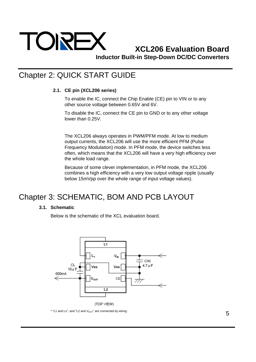

# Chapter 2: QUICK START GUIDE

#### **2.1. CE pin (XCL206 series)**

To enable the IC, connect the Chip Enable (CE) pin to VIN or to any other source voltage between 0.65V and 6V.

To disable the IC, connect the CE pin to GND or to any other voltage lower than 0.25V.

The XCL206 always operates in PWM/PFM mode. At low to medium output currents, the XCL206 will use the more efficient PFM (Pulse Frequency Modulation) mode. In PFM mode, the device switches less often, which means that the XCL206 will have a very high efficiency over the whole load range.

Because of some clever implementation, in PFM mode, the XCL206 combines a high efficiency with a very low output voltage ripple (usually below 15mVpp over the whole range of input voltage values).

# Chapter 3: SCHEMATIC, BOM AND PCB LAYOUT

#### **3.1. Schematic**

Below is the schematic of the XCL evaluation board.



 $*$  "L1 and Lx", and "L2 and  $V_{\text{OUT}}$ " are connected by wiring.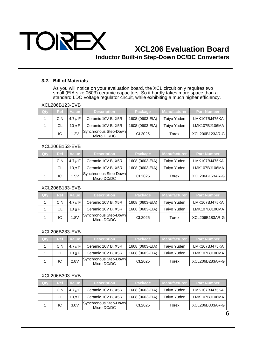

#### **3.2. Bill of Materials**

As you will notice on your evaluation board, the XCL circuit only requires two small (EIA size 0603) ceramic capacitors. So it hardly takes more space than a standard LDO voltage regulator circuit, while exhibiting a much higher efficiency.

|            | AULZUUD IZJ-L V D |             |                                      |                 |                     |                    |  |  |  |
|------------|-------------------|-------------|--------------------------------------|-----------------|---------------------|--------------------|--|--|--|
| <b>Oty</b> | <b>Ref</b>        | Value       | <b>Description</b>                   | <b>Package</b>  | <b>Manufacturer</b> | <b>Part Number</b> |  |  |  |
|            | <b>CIN</b>        | $4.7 \mu F$ | Ceramic 10V B, X5R                   | 1608 (0603-EIA) | Taiyo Yuden         | LMK107BJ475KA      |  |  |  |
|            | CL                | $10 \mu F$  | Ceramic 10V B, X5R                   | 1608 (0603-EIA) | Taiyo Yuden         | LMK107BJ106MA      |  |  |  |
|            | IC                | 1.2V        | Synchronous Step-Down<br>Micro DC/DC | CL2025          | Torex               | XCL206B123AR-G     |  |  |  |

#### XCL206B123-EVB

#### XCL206B153-EVB

| Qty | <b>Ref</b> | Value       | <b>Description</b>                   | Package         | <b>Manufacturer</b> | l Part Number <sup>∖</sup> |
|-----|------------|-------------|--------------------------------------|-----------------|---------------------|----------------------------|
|     | <b>CIN</b> | $4.7 \mu F$ | Ceramic 10V B, X5R                   | 1608 (0603-EIA) | Taiyo Yuden         | LMK107BJ475KA              |
|     | CL         | $10 \mu F$  | Ceramic 10V B, X5R                   | 1608 (0603-EIA) | Taiyo Yuden         | LMK107BJ106MA              |
|     | IC         | 1.5V        | Synchronous Step-Down<br>Micro DC/DC | CL2025          | Torex               | XCL206B153AR-G             |

#### XCL206B183-EVB

| Qty | Ref.       | Value       | <b>Description</b>                   | Package         | Manufacturer | <b>Part Number</b> |
|-----|------------|-------------|--------------------------------------|-----------------|--------------|--------------------|
|     | <b>CIN</b> | $4.7 \mu F$ | Ceramic 10V B, X5R                   | 1608 (0603-EIA) | Taiyo Yuden  | LMK107BJ475KA      |
|     | <b>CL</b>  | $10 \mu F$  | Ceramic 10V B, X5R                   | 1608 (0603-EIA) | Taiyo Yuden  | LMK107BJ106MA      |
|     | IC         | 1.8V        | Synchronous Step-Down<br>Micro DC/DC | CL2025          | Torex        | XCL206B183AR-G     |

#### XCL206B283-EVB

| Qty | <b>Ref</b> | Value       | <b>Description</b>                   | Package         | <b>Manufacturer</b> | <b>Part Number</b> |
|-----|------------|-------------|--------------------------------------|-----------------|---------------------|--------------------|
|     | <b>CIN</b> | $4.7 \mu F$ | Ceramic 10V B, X5R                   | 1608 (0603-EIA) | Taiyo Yuden         | LMK107BJ475KA      |
|     | CL         | $10 \mu F$  | Ceramic 10V B, X5R                   | 1608 (0603-EIA) | Taiyo Yuden         | LMK107BJ106MA      |
|     | IC         | 2.8V        | Synchronous Step-Down<br>Micro DC/DC | CL2025          | Torex               | XCL206B283AR-G     |

#### XCL206B303-EVB

| Qty | <b>Ref</b> | Value       | <b>Description</b>                   | Package         | Manufacturer <del>d</del> | <b>Part Number</b> |
|-----|------------|-------------|--------------------------------------|-----------------|---------------------------|--------------------|
|     | <b>CIN</b> | $4.7 \mu F$ | Ceramic 10V B, X5R                   | 1608 (0603-EIA) | Taiyo Yuden               | LMK107BJ475KA      |
|     | CL         | $10 \mu F$  | Ceramic 10V B, X5R                   | 1608 (0603-EIA) | Taiyo Yuden               | LMK107BJ106MA      |
|     | IC         | 3.0V        | Synchronous Step-Down<br>Micro DC/DC | CL2025          | Torex                     | XCL206B303AR-G     |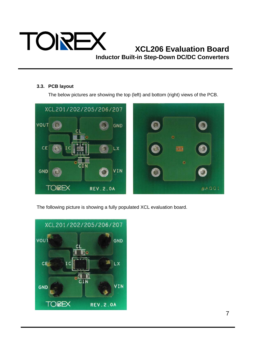

#### **3.3. PCB layout**

The below pictures are showing the top (left) and bottom (right) views of the PCB.



The following picture is showing a fully populated XCL evaluation board.

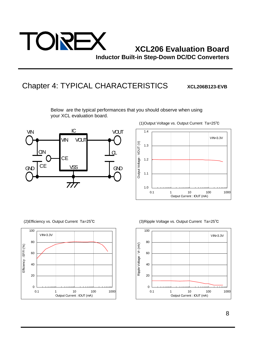

### Chapter 4: TYPICAL CHARACTERISTICS xcL206B123-EVB

Below are the typical performances that you should observe when using your XCL evaluation board.







(2)Efficiency vs. Output Current Ta=25℃ (3)Ripple Voltage vs. Output Current Ta=25℃

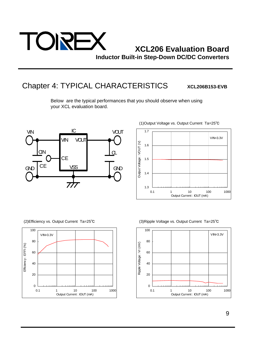

# Chapter 4: TYPICAL CHARACTERISTICS xcL206B153-EVB

Below are the typical performances that you should observe when using your XCL evaluation board.







(2)Efficiency vs. Output Current Ta=25℃ (3)Ripple Voltage vs. Output Current Ta=25℃

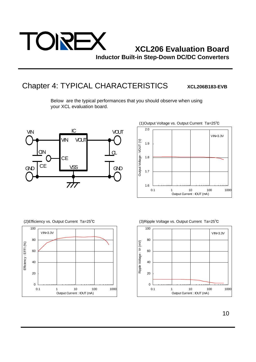

# Chapter 4: TYPICAL CHARACTERISTICS XCL206B183-EVB

Below are the typical performances that you should observe when using your XCL evaluation board.







(2)Efficiency vs. Output Current Ta=25℃ (3)Ripple Voltage vs. Output Current Ta=25℃

![](_page_9_Figure_10.jpeg)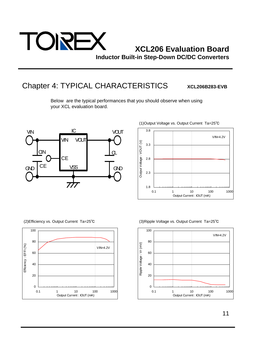![](_page_10_Picture_0.jpeg)

# Chapter 4: TYPICAL CHARACTERISTICS xcL206B283-EVB

Below are the typical performances that you should observe when using your XCL evaluation board.

![](_page_10_Figure_5.jpeg)

![](_page_10_Figure_6.jpeg)

![](_page_10_Figure_8.jpeg)

(2)Efficiency vs. Output Current Ta=25℃ (3)Ripple Voltage vs. Output Current Ta=25℃

![](_page_10_Figure_10.jpeg)